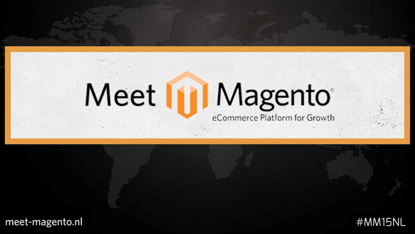#### Meet **In Magento** eCommerce Platform for Growth

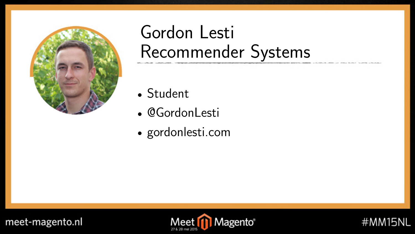

#### Gordon Lesti Recommender Systems

- Student
- @GordonLesti
- gordonlesti.com





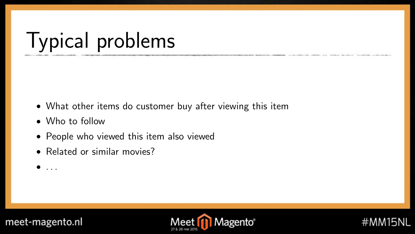## Typical problems

- What other items do customer buy after viewing this item
- Who to follow
- People who viewed this item also viewed
- Related or similar movies?
- $\bullet$  ...



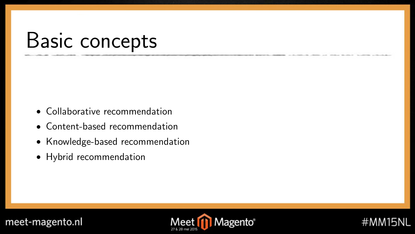### Basic concepts

- Collaborative recommendation
- Content-based recommendation
- Knowledge-based recommendation
- Hybrid recommendation



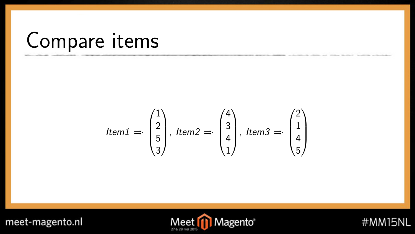### Compare items

$$
Item1 \Rightarrow \begin{pmatrix} 1 \\ 2 \\ 5 \\ 3 \end{pmatrix}, \, Item2 \Rightarrow \begin{pmatrix} 4 \\ 3 \\ 4 \\ 1 \end{pmatrix}, \, Item3 \Rightarrow \begin{pmatrix} 2 \\ 1 \\ 4 \\ 5 \end{pmatrix}
$$



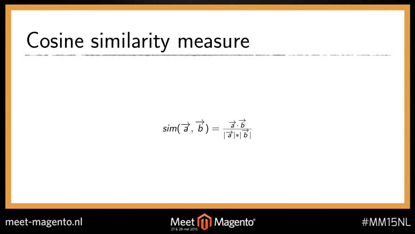## Cosine similarity measure

$$
\textit{sim}(\overrightarrow{a},\overrightarrow{b}) = \frac{\overrightarrow{a} \cdot \overrightarrow{b}}{|\overrightarrow{a}| \cdot |\overrightarrow{b}|}
$$



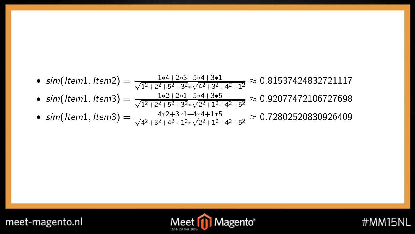\n- \n
$$
\begin{aligned}\n \text{sim}(Item1, Item2) &= \frac{1*4+2*3+5*4+3*1}{\sqrt{1^2+2^2+5^2+3^2}*\sqrt{4^2+3^2+4^2+1^2}} \approx 0.81537424832721117 \\
\text{sim}(Item1, Item3) &= \frac{1*2+2*1+5*4+3*5}{\sqrt{1^2+2^2+5^2+3^2}*\sqrt{2^2+1^2+4^2+5^2}} \approx 0.92077472106727698 \\
\text{sim}(Item1, Item3) &= \frac{4*2+3*1+4*4+1*5}{\sqrt{4^2+3^2+4^2+1^2}*\sqrt{2^2+1^2+4^2+5^2}} \approx 0.72802520830926409\n \end{aligned}
$$
\n
\n



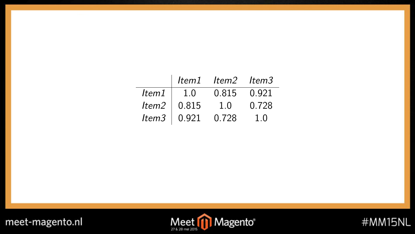|       |                     | Item1 Item2 Item3 |       |
|-------|---------------------|-------------------|-------|
| ltem1 | 1.0                 | 0.815             | 0.921 |
|       | Item $2 \mid 0.815$ | 1.0               | 0.728 |
|       | Item $3 \mid 0.921$ | 0.728             | 10    |





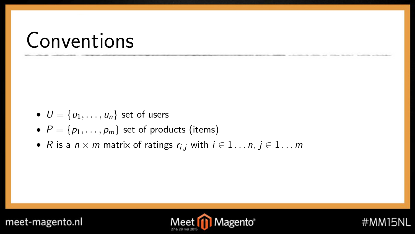### Conventions

- $U = \{u_1, \ldots, u_n\}$  set of users
- $P = \{p_1, \ldots, p_m\}$  set of products (items)
- R is a  $n \times m$  matrix of ratings  $r_{i,j}$  with  $i \in 1 \dots n$ ,  $j \in 1 \dots m$





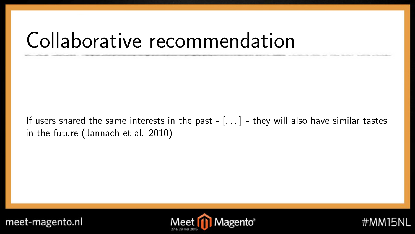### Collaborative recommendation

If users shared the same interests in the past  $-[...]$  - they will also have similar tastes in the future (Jannach et al. 2010)





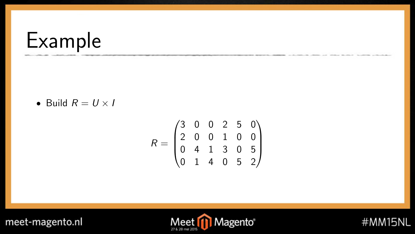### Example

• Build  $R = U \times I$ 

$$
R = \begin{pmatrix} 3 & 0 & 0 & 2 & 5 & 0 \\ 2 & 0 & 0 & 1 & 0 & 0 \\ 0 & 4 & 1 & 3 & 0 & 5 \\ 0 & 1 & 4 & 0 & 5 & 2 \end{pmatrix}
$$



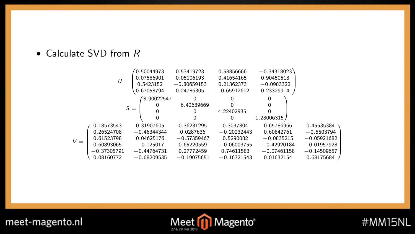#### • Calculate SVD from R

|       |               |       | (0.50044973)  | 0.53419723    | 0.58856666    | $-0.34318023$ |               |
|-------|---------------|-------|---------------|---------------|---------------|---------------|---------------|
|       |               |       | 0.07586901    | 0.05106193    | 0.41654165    | 0.90450518    |               |
|       | $U =$         |       | 0.5423152     | $-0.80659153$ | 0.21362373    | $-0.0983322$  |               |
|       |               |       | 0.67058794    | 0.24786305    | $-0.65912612$ | 0.23329914    |               |
|       |               |       | 8.90022547    | 0             |               | 0             |               |
|       |               | $S =$ | 0             | 6.42689669    |               |               |               |
|       |               |       |               | 0             | 4.22402935    |               |               |
|       |               |       |               |               | 0             | 1.28006315    |               |
|       | 0.18573543    |       | 0.31907605    | 0.36231295    | 0.3037804     | 0.65786966    | 0.45535384    |
|       | 0.26524708    |       | $-0.46344344$ | 0.0287636     | $-0.20232443$ | 0.60842761    | $-0.5503794$  |
| $V =$ | 0.61523798    |       | 0.04625176    | $-0.57359467$ | 0.5290082     | $-0.0835215$  | $-0.05921682$ |
|       | 0.60893065    |       | $-0.125017$   | 0.65220559    | $-0.06003755$ | $-0.42920184$ | $-0.01957928$ |
|       | $-0.37305791$ |       | $-0.44764731$ | 0.27772459    | 0.74611583    | $-0.07461158$ | $-0.14509657$ |
|       | 0.08160772    |       | $-0.68209535$ | $-0.19075651$ | $-0.16321543$ | 0.01632154    | 0.68175684    |



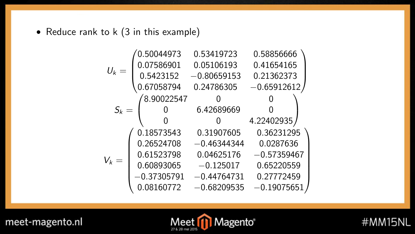• Reduce rank to k (3 in this example)

$$
U_k = \begin{pmatrix} 0.50044973 & 0.53419723 & 0.58856666 \\ 0.07586901 & 0.05106193 & 0.41654165 \\ 0.5423152 & -0.80659153 & 0.21362373 \\ 0.67058794 & 0.24786305 & -0.65912612 \end{pmatrix} \\ S_k = \begin{pmatrix} 8.90022547 & 0 & 0 \\ 0 & 6.42689669 & 0 \\ 0 & 0 & 4.22402935 \\ 0.26524708 & -0.46344344 & 0.0287636 \\ 0.61523798 & 0.04625176 & -0.57359467 \\ 0.60893065 & -0.125017 & 0.65220559 \\ -0.37305791 & -0.44764731 & 0.27772459 \\ 0.08160772 & -0.68209535 & -0.19075651 \end{pmatrix}
$$



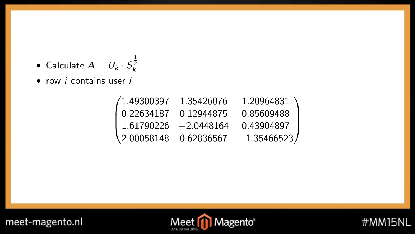- Calculate  $A = U_k \cdot S_k^{\frac{1}{2}}$
- $\bullet$  row *i* contains user *i*

| /1.49300397             | 1.35426076 | 1.20964831     |
|-------------------------|------------|----------------|
| l 0.22634187            | 0.12944875 | 0.85609488     |
| $1.61790226 -2.0448164$ |            | 0.43904897     |
| \ 2.00058148            | 0.62836567 | $-1.35466523/$ |





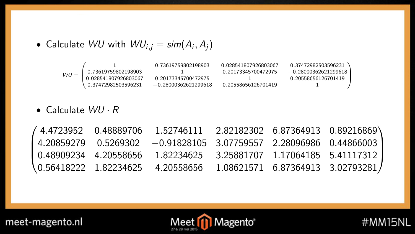$\bullet$  Calculate  $WU$  with  $WU_{i,j} = sim(A_i, A_j)$ 



• Calculate  $WU \cdot R$ 

|  | $(4.4723952 \t 0.48889706 \t 1.52746111 \t 2.82182302 \t 6.87364913 \t 0.89216869)$                         |  |  |
|--|-------------------------------------------------------------------------------------------------------------|--|--|
|  | $\begin{bmatrix} 4.20859279 & 0.5269302 & -0.91828105 & 3.07759557 & 2.28096986 & 0.44866003 \end{bmatrix}$ |  |  |
|  | $\vert$ 0.48909234 4.20558656 1.82234625 3.25881707 1.17064185 5.41117312                                   |  |  |
|  | $\{0.56418222 \quad 1.82234625 \quad 4.20558656 \quad 1.08621571 \quad 6.87364913 \quad 3.02793281\}$       |  |  |





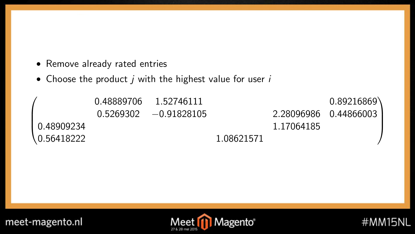- Remove already rated entries
- Choose the product  $j$  with the highest value for user  $i$

|                         | 0.48889706 1.52746111   |            |            | 0.89216869            |
|-------------------------|-------------------------|------------|------------|-----------------------|
|                         | $0.5269302 -0.91828105$ |            |            | 2.28096986 0.44866003 |
| 10.48909234             |                         |            | 1.17064185 |                       |
| $\backslash$ 0.56418222 |                         | 1.08621571 |            |                       |





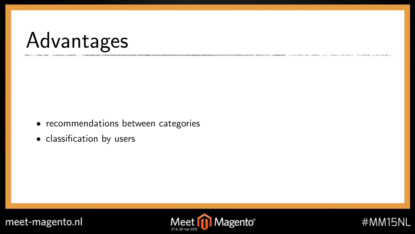## Advantages

- recommendations between categories
- classification by users





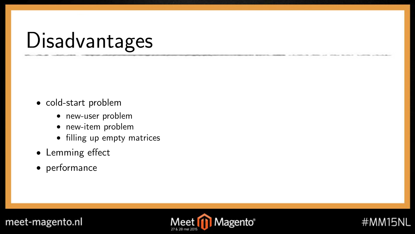## Disadvantages

- cold-start problem
	- new-user problem
	- new-item problem
	- filling up empty matrices
- Lemming effect
- performance



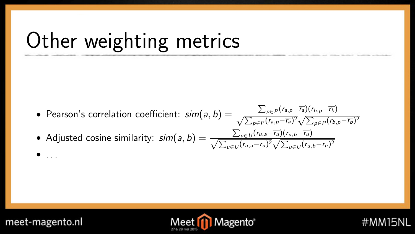## Other weighting metrics

• Pearson's correlation coefficient:  $sim(a, b) = \frac{\sum_{p \in P}(r_{a,p}-\overline{r_a})(r_{b,p}-\overline{r_b})}{\sqrt{\sum_{p \in P}(r_{a,p}-\overline{r_a})^2}\sqrt{\sum_{p \in P}(r_{b,p}-\overline{r_b})^2}}$  $\Sigma$ 

• Adjusted cosine similarity: 
$$
sim(a, b) = \frac{\sum_{u \in U} (r_{u,a} - \overline{r_u})(r_{u,b} - \overline{r_u})}{\sqrt{\sum_{u \in U} (r_{u,a} - \overline{r_u})^2} \sqrt{\sum_{u \in U} (r_{u,b} - \overline{r_u})^2}}
$$

 $\bullet$  ...



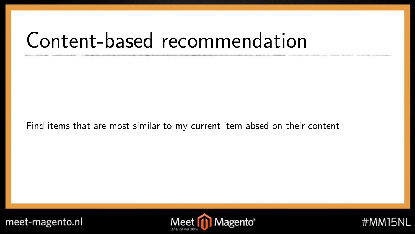### Content-based recommendation

Find items that are most similar to my current item absed on their content



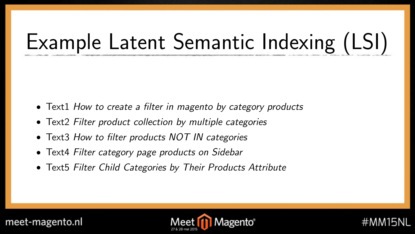# Example Latent Semantic Indexing (LSI)

- Text1 How to create a filter in magento by category products
- Text2 Filter product collection by multiple categories
- Text3 How to filter products NOT IN categories
- Text4 Filter category page products on Sidebar
- Text5 Filter Child Categories by Their Products Attribute



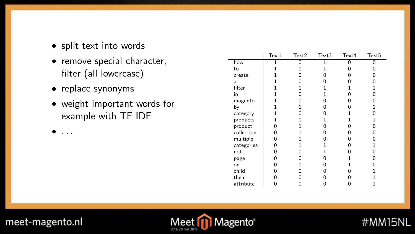- split text into words
- remove special character, filter (all lowercase)
- replace synonyms
- weight important words for example with TF-IDF

|            | Text1 | Text2 | Text3 | Text4 | Text <sub>5</sub> |
|------------|-------|-------|-------|-------|-------------------|
| how        |       | n     |       |       | n                 |
| to         |       |       |       |       |                   |
| create     |       |       | n     | n     |                   |
| a          |       |       | n     |       |                   |
| filter     |       |       |       |       |                   |
| in         |       |       |       |       |                   |
| magento    |       |       |       |       |                   |
| by         |       |       | n     |       |                   |
| category   |       |       |       |       |                   |
| products   |       |       |       |       |                   |
| product    | n     |       | n     | n     | n                 |
| collection | n     |       | n     | n     |                   |
| multiple   | n     |       | n     | n     |                   |
| categories | n     |       |       |       |                   |
| not        | n     |       |       |       |                   |
| page       | n     |       |       |       |                   |
| on         | n     |       | n     |       |                   |
| child      |       |       |       |       |                   |
| their      |       |       |       |       |                   |
| attribute  | Ω     |       |       | 0     |                   |

#MM15NL



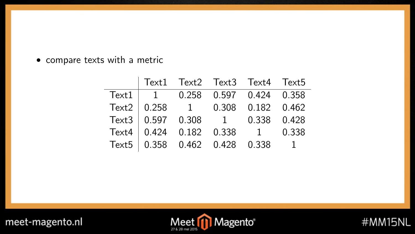• compare texts with a metric

|  |  | Text1 Text2 Text3 Text4 Text5                                                                         |  |
|--|--|-------------------------------------------------------------------------------------------------------|--|
|  |  | $Text1$ 1 0.258 0.597 0.424 0.358                                                                     |  |
|  |  | Text2 0.258 1 0.308 0.182 0.462                                                                       |  |
|  |  |                                                                                                       |  |
|  |  |                                                                                                       |  |
|  |  | Text3 0.597 0.308 1 0.338 0.428<br>Text4 0.424 0.182 0.338 1 0.338<br>Text5 0.358 0.462 0.428 0.338 1 |  |



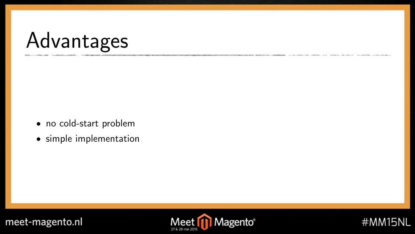## Advantages

- no cold-start problem
- simple implementation





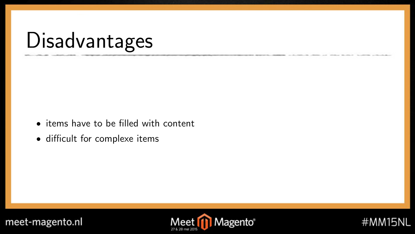## Disadvantages

- items have to be filled with content
- difficult for complexe items





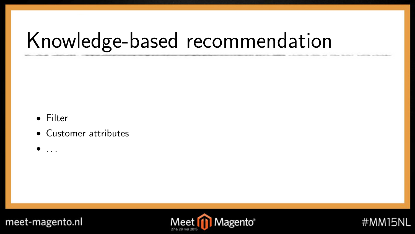## Knowledge-based recommendation

- Filter
- Customer attributes
- $\bullet$  ...





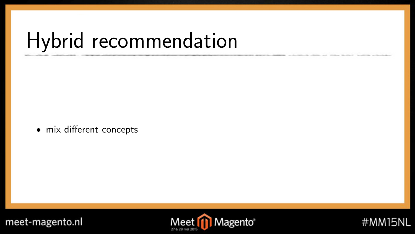## Hybrid recommendation

• mix different concepts



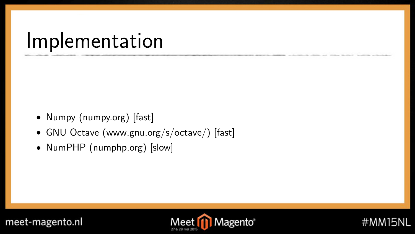### Implementation

- Numpy (numpy.org) [fast]
- GNU Octave (www.gnu.org/s/octave/) [fast]
- NumPHP (numphp.org) [slow]





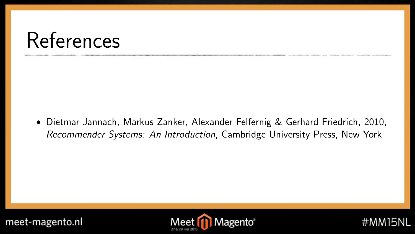### References

• Dietmar Jannach, Markus Zanker, Alexander Felfernig & Gerhard Friedrich, 2010, Recommender Systems: An Introduction, Cambridge University Press, New York